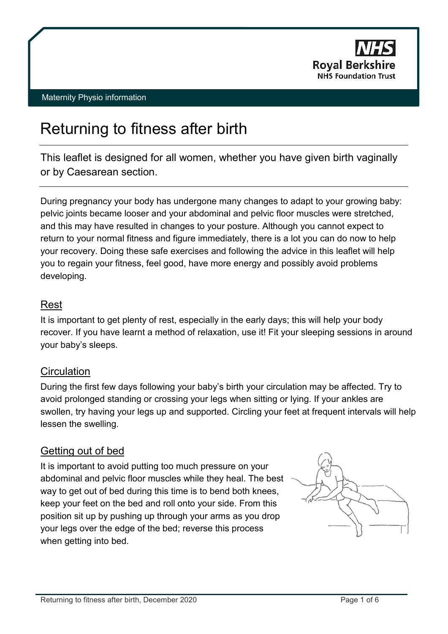

## Maternity Physio information

# Returning to fitness after birth

This leaflet is designed for all women, whether you have given birth vaginally or by Caesarean section.

During pregnancy your body has undergone many changes to adapt to your growing baby: pelvic joints became looser and your abdominal and pelvic floor muscles were stretched, and this may have resulted in changes to your posture. Although you cannot expect to return to your normal fitness and figure immediately, there is a lot you can do now to help your recovery. Doing these safe exercises and following the advice in this leaflet will help you to regain your fitness, feel good, have more energy and possibly avoid problems developing.

# Rest

It is important to get plenty of rest, especially in the early days; this will help your body recover. If you have learnt a method of relaxation, use it! Fit your sleeping sessions in around your baby's sleeps.

# **Circulation**

During the first few days following your baby's birth your circulation may be affected. Try to avoid prolonged standing or crossing your legs when sitting or lying. If your ankles are swollen, try having your legs up and supported. Circling your feet at frequent intervals will help lessen the swelling.

# Getting out of bed

It is important to avoid putting too much pressure on your abdominal and pelvic floor muscles while they heal. The best way to get out of bed during this time is to bend both knees, keep your feet on the bed and roll onto your side. From this position sit up by pushing up through your arms as you drop your legs over the edge of the bed; reverse this process when getting into bed.

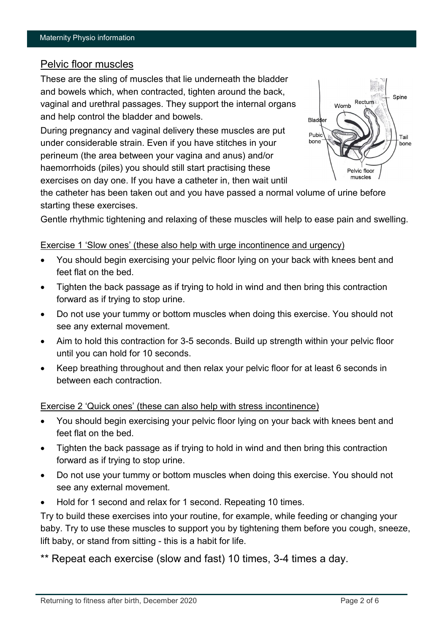## Pelvic floor muscles

These are the sling of muscles that lie underneath the bladder and bowels which, when contracted, tighten around the back, vaginal and urethral passages. They support the internal organs and help control the bladder and bowels.

During pregnancy and vaginal delivery these muscles are put under considerable strain. Even if you have stitches in your perineum (the area between your vagina and anus) and/or haemorrhoids (piles) you should still start practising these exercises on day one. If you have a catheter in, then wait until



the catheter has been taken out and you have passed a normal volume of urine before starting these exercises.

Gentle rhythmic tightening and relaxing of these muscles will help to ease pain and swelling.

## Exercise 1 'Slow ones' (these also help with urge incontinence and urgency)

- You should begin exercising your pelvic floor lying on your back with knees bent and feet flat on the bed.
- Tighten the back passage as if trying to hold in wind and then bring this contraction forward as if trying to stop urine.
- Do not use your tummy or bottom muscles when doing this exercise. You should not see any external movement.
- Aim to hold this contraction for 3-5 seconds. Build up strength within your pelvic floor until you can hold for 10 seconds.
- Keep breathing throughout and then relax your pelvic floor for at least 6 seconds in between each contraction.

## Exercise 2 'Quick ones' (these can also help with stress incontinence)

- You should begin exercising your pelvic floor lying on your back with knees bent and feet flat on the bed.
- Tighten the back passage as if trying to hold in wind and then bring this contraction forward as if trying to stop urine.
- Do not use your tummy or bottom muscles when doing this exercise. You should not see any external movement.
- Hold for 1 second and relax for 1 second. Repeating 10 times.

Try to build these exercises into your routine, for example, while feeding or changing your baby. Try to use these muscles to support you by tightening them before you cough, sneeze, lift baby, or stand from sitting - this is a habit for life.

\*\* Repeat each exercise (slow and fast) 10 times, 3-4 times a day.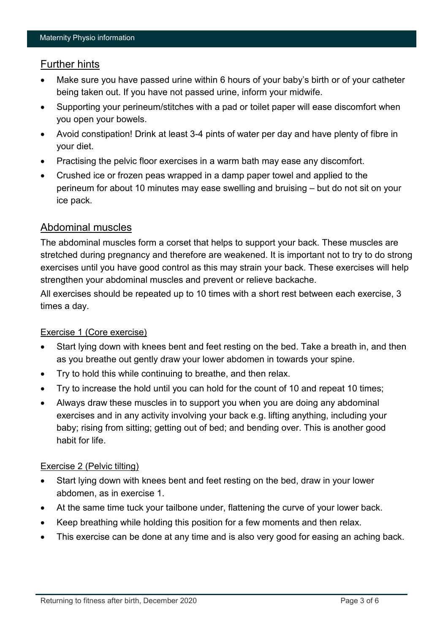# Further hints

- Make sure you have passed urine within 6 hours of your baby's birth or of your catheter being taken out. If you have not passed urine, inform your midwife.
- Supporting your perineum/stitches with a pad or toilet paper will ease discomfort when you open your bowels.
- Avoid constipation! Drink at least 3-4 pints of water per day and have plenty of fibre in your diet.
- Practising the pelvic floor exercises in a warm bath may ease any discomfort.
- Crushed ice or frozen peas wrapped in a damp paper towel and applied to the perineum for about 10 minutes may ease swelling and bruising – but do not sit on your ice pack.

# Abdominal muscles

The abdominal muscles form a corset that helps to support your back. These muscles are stretched during pregnancy and therefore are weakened. It is important not to try to do strong exercises until you have good control as this may strain your back. These exercises will help strengthen your abdominal muscles and prevent or relieve backache.

All exercises should be repeated up to 10 times with a short rest between each exercise, 3 times a day.

# Exercise 1 (Core exercise)

- Start lying down with knees bent and feet resting on the bed. Take a breath in, and then as you breathe out gently draw your lower abdomen in towards your spine.
- Try to hold this while continuing to breathe, and then relax.
- Try to increase the hold until you can hold for the count of 10 and repeat 10 times;
- Always draw these muscles in to support you when you are doing any abdominal exercises and in any activity involving your back e.g. lifting anything, including your baby; rising from sitting; getting out of bed; and bending over. This is another good habit for life.

## Exercise 2 (Pelvic tilting)

- Start lying down with knees bent and feet resting on the bed, draw in your lower abdomen, as in exercise 1.
- At the same time tuck your tailbone under, flattening the curve of your lower back.
- Keep breathing while holding this position for a few moments and then relax.
- This exercise can be done at any time and is also very good for easing an aching back.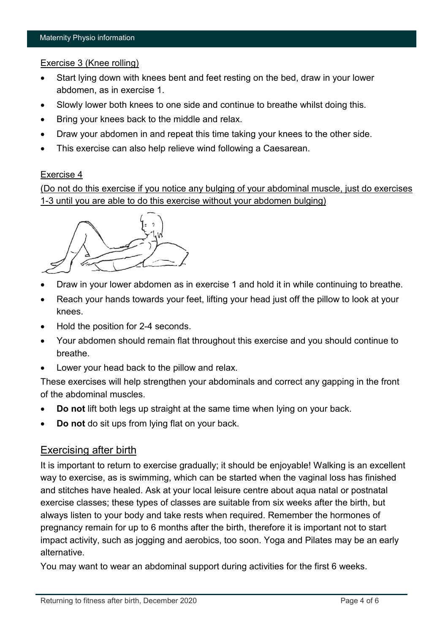## Exercise 3 (Knee rolling)

- Start lying down with knees bent and feet resting on the bed, draw in your lower abdomen, as in exercise 1.
- Slowly lower both knees to one side and continue to breathe whilst doing this.
- Bring your knees back to the middle and relax.
- Draw your abdomen in and repeat this time taking your knees to the other side.
- This exercise can also help relieve wind following a Caesarean.

#### Exercise 4

(Do not do this exercise if you notice any bulging of your abdominal muscle, just do exercises 1-3 until you are able to do this exercise without your abdomen bulging)



- Draw in your lower abdomen as in exercise 1 and hold it in while continuing to breathe.
- Reach your hands towards your feet, lifting your head just off the pillow to look at your knees.
- Hold the position for 2-4 seconds.
- Your abdomen should remain flat throughout this exercise and you should continue to breathe.
- Lower your head back to the pillow and relax.

These exercises will help strengthen your abdominals and correct any gapping in the front of the abdominal muscles.

- **Do not** lift both legs up straight at the same time when lying on your back.
- **Do not** do sit ups from lying flat on your back.

## Exercising after birth

It is important to return to exercise gradually; it should be enjoyable! Walking is an excellent way to exercise, as is swimming, which can be started when the vaginal loss has finished and stitches have healed. Ask at your local leisure centre about aqua natal or postnatal exercise classes; these types of classes are suitable from six weeks after the birth, but always listen to your body and take rests when required. Remember the hormones of pregnancy remain for up to 6 months after the birth, therefore it is important not to start impact activity, such as jogging and aerobics, too soon. Yoga and Pilates may be an early alternative.

You may want to wear an abdominal support during activities for the first 6 weeks.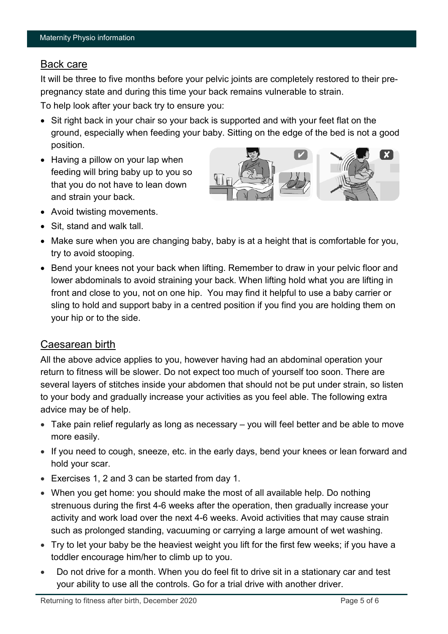# Back care

It will be three to five months before your pelvic joints are completely restored to their prepregnancy state and during this time your back remains vulnerable to strain.

To help look after your back try to ensure you:

- Sit right back in your chair so your back is supported and with your feet flat on the ground, especially when feeding your baby. Sitting on the edge of the bed is not a good position.
- Having a pillow on your lap when feeding will bring baby up to you so that you do not have to lean down and strain your back.



- Avoid twisting movements.
- Sit, stand and walk tall.
- Make sure when you are changing baby, baby is at a height that is comfortable for you, try to avoid stooping.
- Bend your knees not your back when lifting. Remember to draw in your pelvic floor and lower abdominals to avoid straining your back. When lifting hold what you are lifting in front and close to you, not on one hip. You may find it helpful to use a baby carrier or sling to hold and support baby in a centred position if you find you are holding them on your hip or to the side.

# Caesarean birth

All the above advice applies to you, however having had an abdominal operation your return to fitness will be slower. Do not expect too much of yourself too soon. There are several layers of stitches inside your abdomen that should not be put under strain, so listen to your body and gradually increase your activities as you feel able. The following extra advice may be of help.

- Take pain relief regularly as long as necessary you will feel better and be able to move more easily.
- If you need to cough, sneeze, etc. in the early days, bend your knees or lean forward and hold your scar.
- Exercises 1, 2 and 3 can be started from day 1.
- When you get home: you should make the most of all available help. Do nothing strenuous during the first 4-6 weeks after the operation, then gradually increase your activity and work load over the next 4-6 weeks. Avoid activities that may cause strain such as prolonged standing, vacuuming or carrying a large amount of wet washing.
- Try to let your baby be the heaviest weight you lift for the first few weeks; if you have a toddler encourage him/her to climb up to you.
- Do not drive for a month. When you do feel fit to drive sit in a stationary car and test your ability to use all the controls. Go for a trial drive with another driver.